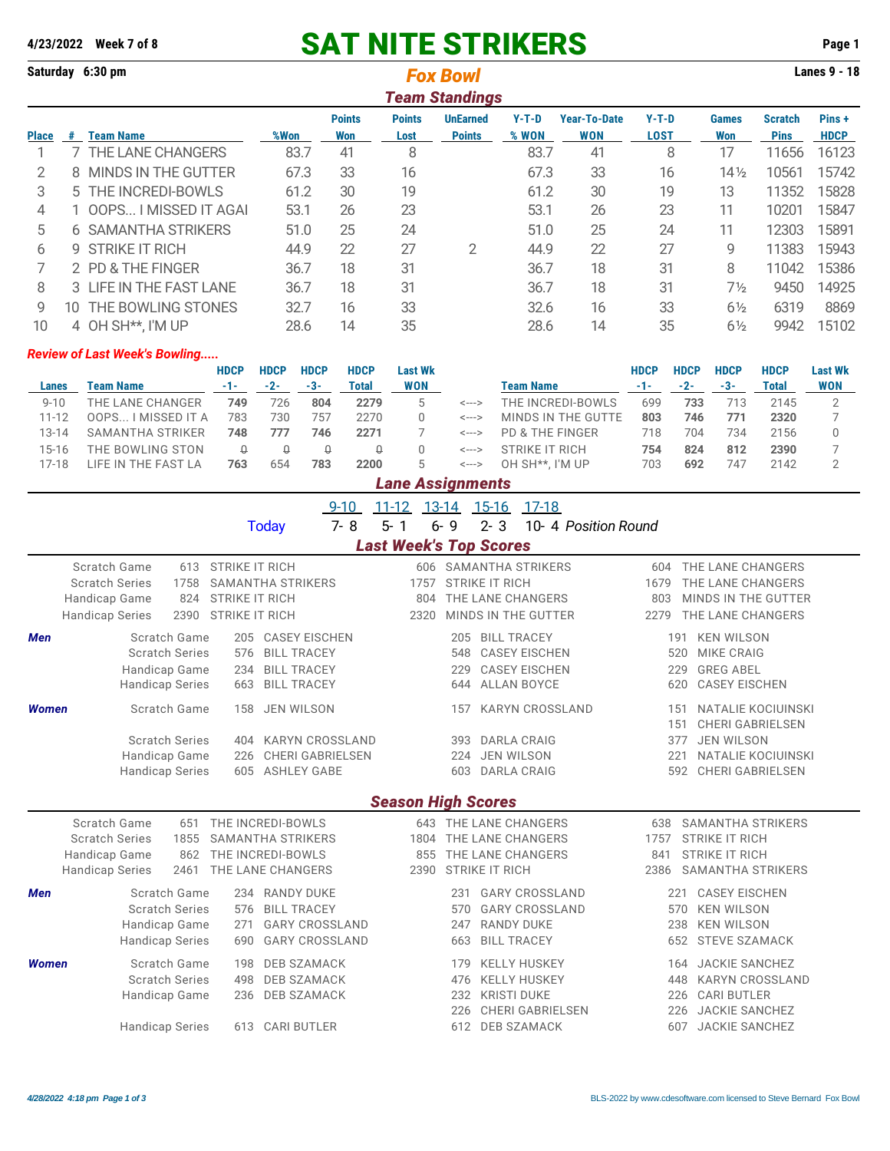## **4/23/2022 Week 7 of 8** SAT NITE STRIKERS **Page 1**

| Saturday 6:30 pm      |     |                          |      |                      |                       | <b>Fox Bowl</b>                  |                |                                   |                        |                     |                               | <b>Lanes 9 - 18</b>  |  |  |  |  |  |  |
|-----------------------|-----|--------------------------|------|----------------------|-----------------------|----------------------------------|----------------|-----------------------------------|------------------------|---------------------|-------------------------------|----------------------|--|--|--|--|--|--|
| <b>Team Standings</b> |     |                          |      |                      |                       |                                  |                |                                   |                        |                     |                               |                      |  |  |  |  |  |  |
| <b>Place</b>          | #   | Team Name                | %Won | <b>Points</b><br>Won | <b>Points</b><br>Lost | <b>UnEarned</b><br><b>Points</b> | Y-T-D<br>% WON | <b>Year-To-Date</b><br><b>WON</b> | $Y-T-D$<br><b>LOST</b> | <b>Games</b><br>Won | <b>Scratch</b><br><b>Pins</b> | Pins+<br><b>HDCP</b> |  |  |  |  |  |  |
|                       |     | THE LANE CHANGERS        | 83.7 | 41                   | 8                     |                                  | 83.7           | 41                                | 8                      | 17                  | 11656                         | 16123                |  |  |  |  |  |  |
| $\mathcal{P}$         | 8   | MINDS IN THE GUTTER      | 67.3 | 33                   | 16                    |                                  | 67.3           | 33                                | 16                     | $14\frac{1}{2}$     | 10561                         | 15742                |  |  |  |  |  |  |
| 3                     |     | 5 THE INCREDI-BOWLS      | 61.2 | 30                   | 19                    |                                  | 61.2           | 30                                | 19                     | 13                  | 11352                         | 15828                |  |  |  |  |  |  |
| 4                     |     | OOPS I MISSED IT AGAI    | 53.1 | 26                   | 23                    |                                  | 53.1           | 26                                | 23                     | 11                  | 10201                         | 15847                |  |  |  |  |  |  |
| 5                     | 6   | <b>SAMANTHA STRIKERS</b> | 51.0 | 25                   | 24                    |                                  | 51.0           | 25                                | 24                     | 11                  | 12303                         | 15891                |  |  |  |  |  |  |
| 6                     | g.  | <b>STRIKE IT RICH</b>    | 44.9 | 22                   | 27                    | 2                                | 44.9           | 22                                | 27                     | 9                   | 11383                         | 15943                |  |  |  |  |  |  |
|                       |     | 2 PD & THE FINGER        | 36.7 | 18                   | 31                    |                                  | 36.7           | 18                                | 31                     | 8                   | 11042                         | 15386                |  |  |  |  |  |  |
| 8                     |     | 3 LIFE IN THE FAST LANE  | 36.7 | 18                   | 31                    |                                  | 36.7           | 18                                | 31                     | $7\frac{1}{2}$      | 9450                          | 14925                |  |  |  |  |  |  |
| 9                     | 10. | THE BOWLING STONES       | 32.7 | 16                   | 33                    |                                  | 32.6           | 16                                | 33                     | $6\frac{1}{2}$      | 6319                          | 8869                 |  |  |  |  |  |  |
| 10                    |     | 4 OH SH**. I'M UP        | 28.6 | 14                   | 35                    |                                  | 28.6           | 14                                | 35                     | $6\frac{1}{2}$      | 9942                          | 15102                |  |  |  |  |  |  |

## *Review of Last Week's Bowling.....*

|          |                     | <b>HDCP</b> | <b>HDCP</b> | <b>HDCP</b> | <b>HDCP</b> | <b>Last Wk</b>   |                            |                    | <b>HDCP</b> | <b>HDCP</b> | <b>HDCP</b> | <b>HDCP</b>  | <b>Last Wk</b> |
|----------|---------------------|-------------|-------------|-------------|-------------|------------------|----------------------------|--------------------|-------------|-------------|-------------|--------------|----------------|
| Lanes    | <b>Team Name</b>    | $-1-$       | $-2-$       | -3-         | Total       | <b>WON</b>       |                            | <b>Team Name</b>   | $-1-$       | $-2-$       | $-3-$       | <b>Total</b> | <b>WON</b>     |
| $9 - 10$ | THE LANE CHANGER    | 749         | 726         | 804         | 2279        | $5^{\circ}$      | <--->                      | THE INCREDI-BOWLS  | 699         | 733         | 713         | 2145         |                |
| 11-12    | OOPS I MISSED IT A  | 783         | 730         | 757         | 2270        |                  | <--->                      | MINDS IN THE GUTTE | 803         | 746         | 771         | 2320         |                |
| 13-14    | SAMANTHA STRIKER    | 748         | 777         | 746         | 2271        |                  | $\leftarrow$ $\rightarrow$ | PD & THE FINGER    | 718         | 704         | 734         | 2156         |                |
| 15-16    | THE BOWLING STON    |             |             | Q           |             |                  | <--->                      | STRIKE IT RICH     | 754         | 824         | 812         | 2390         |                |
| $7 - 18$ | LIFE IN THE FAST LA | 763         | 654         | 783         | 2200        | 5                | <--->                      | OH SH**. I'M UP    | 703         | 692         | 747         | 2142         |                |
|          |                     |             |             |             |             | Lane Assignments |                            |                    |             |             |             |              |                |

|                                                                  |                                                                                  |                            |                                                                         |                                                                                              | $9 - 10$ | $11 - 12$                     | 13-14                                        | $15-16$                                                           | 17-18                                                                                                             |                     |                            |                                 |                                                                                                                            |  |
|------------------------------------------------------------------|----------------------------------------------------------------------------------|----------------------------|-------------------------------------------------------------------------|----------------------------------------------------------------------------------------------|----------|-------------------------------|----------------------------------------------|-------------------------------------------------------------------|-------------------------------------------------------------------------------------------------------------------|---------------------|----------------------------|---------------------------------|----------------------------------------------------------------------------------------------------------------------------|--|
|                                                                  |                                                                                  |                            |                                                                         | <b>Today</b>                                                                                 | $7 - 8$  | $5 - 1$                       | $6 - 9$                                      | $2 - 3$                                                           |                                                                                                                   | 10-4 Position Round |                            |                                 |                                                                                                                            |  |
|                                                                  |                                                                                  |                            |                                                                         |                                                                                              |          | <b>Last Week's Top Scores</b> |                                              |                                                                   |                                                                                                                   |                     |                            |                                 |                                                                                                                            |  |
| <b>Scratch Series</b><br>Handicap Game<br><b>Handicap Series</b> | Scratch Game                                                                     | 613<br>1758<br>824<br>2390 | <b>STRIKE IT RICH</b><br><b>STRIKE IT RICH</b><br><b>STRIKE IT RICH</b> | <b>SAMANTHA STRIKERS</b>                                                                     |          |                               | 606 SAMANTHA STRIKERS<br>1757<br>804<br>2320 | <b>STRIKE IT RICH</b><br>THE LANE CHANGERS<br>MINDS IN THE GUTTER |                                                                                                                   |                     | 604<br>1679<br>803<br>2279 |                                 | THE LANE CHANGERS<br>THE LANE CHANGERS<br>MINDS IN THE GUTTER<br>THE LANE CHANGERS                                         |  |
| <b>Men</b>                                                       | Scratch Game<br><b>Scratch Series</b><br>Handicap Game<br><b>Handicap Series</b> |                            | 205<br>576<br>234<br>663                                                | <b>CASEY EISCHEN</b><br><b>BILL TRACEY</b><br><b>BILL TRACEY</b><br><b>BILL TRACEY</b>       |          |                               | 205<br>548<br>229<br>644                     |                                                                   | <b>BILL TRACEY</b><br><b>CASEY EISCHEN</b><br><b>CASEY EISCHEN</b><br><b>ALLAN BOYCE</b>                          |                     |                            | 191<br>520<br>229<br>620        | <b>KEN WILSON</b><br><b>MIKE CRAIG</b><br><b>GREG ABEL</b><br><b>CASEY EISCHEN</b>                                         |  |
| <b>Women</b>                                                     | Scratch Game<br><b>Scratch Series</b><br>Handicap Game<br><b>Handicap Series</b> |                            | 158<br>404<br>226<br>605                                                | <b>JEN WILSON</b><br><b>KARYN CROSSLAND</b><br><b>CHERI GABRIELSEN</b><br><b>ASHLEY GABE</b> |          |                               | 157<br>393<br>224<br>603                     |                                                                   | <b>KARYN CROSSLAND</b><br><b>DARLA CRAIG</b><br><b>JEN WILSON</b><br><b>DARLA CRAIG</b>                           |                     |                            | 151<br>151<br>377<br>221<br>592 | <b>NATALIE KOCIUINSKI</b><br><b>CHERI GABRIELSEN</b><br><b>JEN WILSON</b><br>NATALIE KOCIUINSKI<br><b>CHERI GABRIELSEN</b> |  |
|                                                                  |                                                                                  |                            |                                                                         |                                                                                              |          | <b>Season High Scores</b>     |                                              |                                                                   |                                                                                                                   |                     |                            |                                 |                                                                                                                            |  |
| <b>Scratch Series</b><br>Handicap Game<br><b>Handicap Series</b> | Scratch Game                                                                     | 651<br>1855<br>862<br>2461 |                                                                         | THE INCREDI-BOWLS<br><b>SAMANTHA STRIKERS</b><br>THE INCREDI-BOWLS<br>THE LANE CHANGERS      |          |                               | 643 THE LANE CHANGERS<br>1804<br>855<br>2390 | THE LANE CHANGERS<br>THE LANE CHANGERS<br><b>STRIKE IT RICH</b>   |                                                                                                                   |                     | 638<br>1757<br>841<br>2386 |                                 | <b>SAMANTHA STRIKERS</b><br><b>STRIKE IT RICH</b><br><b>STRIKE IT RICH</b><br><b>SAMANTHA STRIKERS</b>                     |  |
| <b>Men</b>                                                       | Scratch Game<br><b>Scratch Series</b><br>Handicap Game<br><b>Handicap Series</b> |                            | 576<br>271<br>690                                                       | 234 RANDY DUKE<br><b>BILL TRACEY</b><br><b>GARY CROSSLAND</b><br><b>GARY CROSSLAND</b>       |          |                               | 570<br>247<br>663                            | 231                                                               | <b>GARY CROSSLAND</b><br><b>GARY CROSSLAND</b><br><b>RANDY DUKE</b><br><b>BILL TRACEY</b>                         |                     |                            | 221<br>570<br>238<br>652        | <b>CASEY EISCHEN</b><br><b>KEN WILSON</b><br><b>KEN WILSON</b><br>STEVE SZAMACK                                            |  |
| <b>Women</b>                                                     | Scratch Game<br><b>Scratch Series</b><br>Handicap Game<br><b>Handicap Series</b> |                            | 198<br>498<br>236<br>613                                                | <b>DEB SZAMACK</b><br><b>DEB SZAMACK</b><br><b>DEB SZAMACK</b><br><b>CARI BUTLER</b>         |          |                               | 179<br>476<br>232<br>226<br>612              |                                                                   | <b>KELLY HUSKEY</b><br><b>KELLY HUSKEY</b><br><b>KRISTI DUKE</b><br><b>CHERI GABRIELSEN</b><br><b>DEB SZAMACK</b> |                     |                            | 164<br>448<br>226<br>226<br>607 | <b>JACKIE SANCHEZ</b><br><b>KARYN CROSSLAND</b><br><b>CARI BUTLER</b><br><b>JACKIE SANCHEZ</b><br><b>JACKIE SANCHEZ</b>    |  |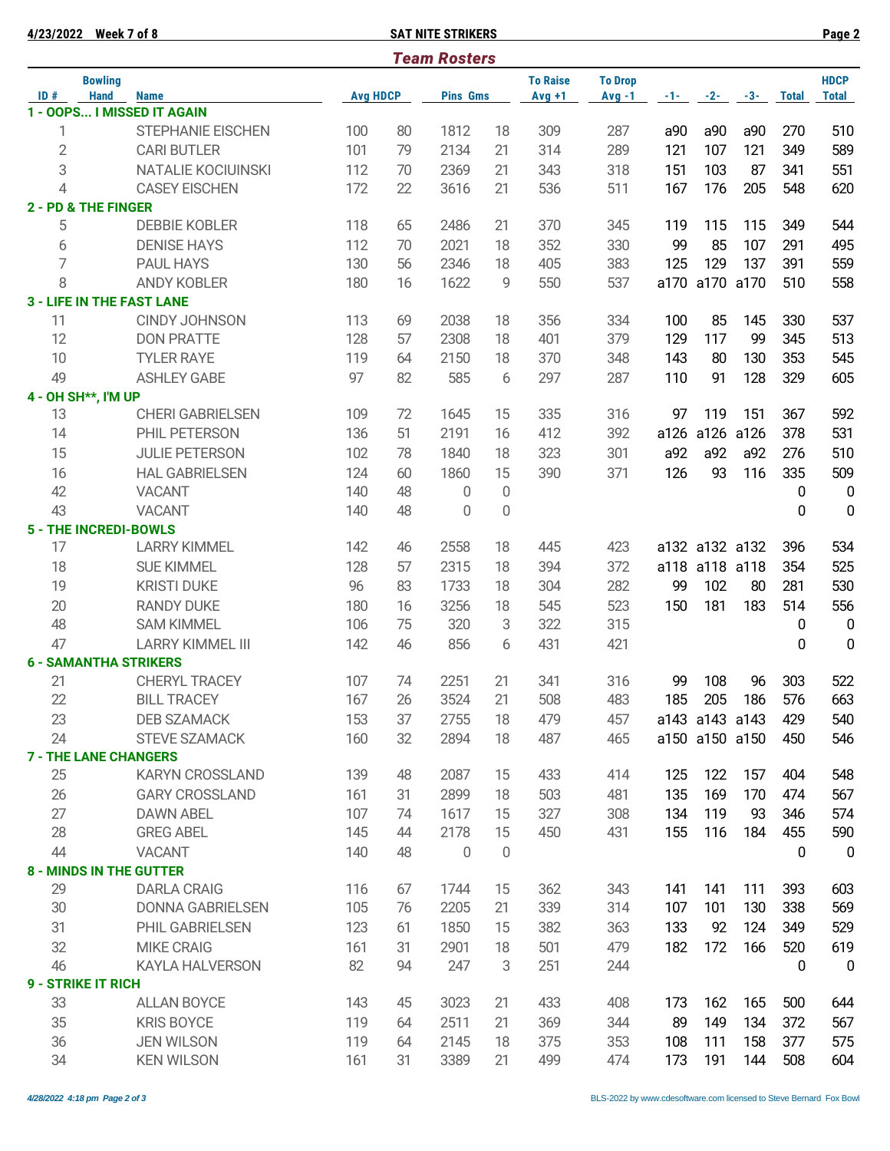|              | 4/23/2022 Week 7 of 8         |                                  |                 |    | <b>SAT NITE STRIKERS</b> |             |                             |                            |      |                |           |              | Page 2                      |
|--------------|-------------------------------|----------------------------------|-----------------|----|--------------------------|-------------|-----------------------------|----------------------------|------|----------------|-----------|--------------|-----------------------------|
|              |                               |                                  |                 |    | <b>Team Rosters</b>      |             |                             |                            |      |                |           |              |                             |
| ID#          | <b>Bowling</b><br><b>Hand</b> | <b>Name</b>                      | <b>Avg HDCP</b> |    | <b>Pins Gms</b>          |             | <b>To Raise</b><br>$Avg +1$ | <b>To Drop</b><br>$Avg -1$ |      | $-1$ $-2$ $-2$ | $-3-$     | <b>Total</b> | <b>HDCP</b><br><b>Total</b> |
|              |                               | 1 - OOPS I MISSED IT AGAIN       |                 |    |                          |             |                             |                            |      |                |           |              |                             |
| 1            |                               | STEPHANIE EISCHEN                | 100             | 80 | 1812                     | 18          | 309                         | 287                        | a90  | a90            | a90       | 270          | 510                         |
| $\mathbf{2}$ |                               | <b>CARI BUTLER</b>               | 101             | 79 | 2134                     | 21          | 314                         | 289                        | 121  | 107            | 121       | 349          | 589                         |
| 3            |                               | NATALIE KOCIUINSKI               | 112             | 70 | 2369                     | 21          | 343                         | 318                        | 151  | 103            | 87        | 341          | 551                         |
| 4            |                               | <b>CASEY EISCHEN</b>             | 172             | 22 | 3616                     | 21          | 536                         | 511                        | 167  | 176            | 205       | 548          | 620                         |
|              | 2 - PD & THE FINGER           |                                  |                 |    |                          |             |                             |                            |      |                |           |              |                             |
| 5            |                               | <b>DEBBIE KOBLER</b>             | 118             | 65 | 2486                     | 21          | 370                         | 345                        | 119  | 115            | 115       | 349          | 544                         |
| 6            |                               | <b>DENISE HAYS</b>               | 112             | 70 | 2021                     | 18          | 352                         | 330                        | 99   | 85             | 107       | 291          | 495                         |
| 7            |                               | <b>PAUL HAYS</b>                 | 130             | 56 | 2346                     | 18          | 405                         | 383                        | 125  | 129            | 137       | 391          | 559                         |
| 8            |                               | <b>ANDY KOBLER</b>               | 180             | 16 | 1622                     | 9           | 550                         | 537                        | a170 |                | a170 a170 | 510          | 558                         |
|              |                               | <b>3 - LIFE IN THE FAST LANE</b> |                 |    |                          |             |                             |                            |      |                |           |              |                             |
| 11           |                               | <b>CINDY JOHNSON</b>             | 113             | 69 | 2038                     | 18          | 356                         | 334                        | 100  | 85             | 145       | 330          | 537                         |
| 12           |                               | <b>DON PRATTE</b>                | 128             | 57 | 2308                     | 18          | 401                         | 379                        | 129  | 117            | 99        | 345          | 513                         |
| 10           |                               | <b>TYLER RAYE</b>                | 119             | 64 | 2150                     | 18          | 370                         | 348                        | 143  | 80             | 130       | 353          | 545                         |
| 49           |                               | <b>ASHLEY GABE</b>               | 97              | 82 | 585                      | 6           | 297                         | 287                        | 110  | 91             | 128       | 329          | 605                         |
|              | 4 - OH SH**, I'M UP           |                                  |                 |    |                          |             |                             |                            |      |                |           |              |                             |
| 13           |                               | <b>CHERI GABRIELSEN</b>          | 109             | 72 | 1645                     | 15          | 335                         | 316                        | 97   | 119            | 151       | 367          | 592                         |
| 14           |                               | PHIL PETERSON                    | 136             | 51 | 2191                     | 16          | 412                         | 392                        | a126 | a126           | a126      | 378          | 531                         |
| 15           |                               | <b>JULIE PETERSON</b>            | 102             | 78 | 1840                     | 18          | 323                         | 301                        | a92  | a92            | a92       | 276          | 510                         |
| 16           |                               | <b>HAL GABRIELSEN</b>            | 124             | 60 | 1860                     | 15          | 390                         | 371                        | 126  | 93             | 116       | 335          | 509                         |
| 42           |                               | <b>VACANT</b>                    | 140             | 48 | 0                        | 0           |                             |                            |      |                |           | 0            | $\mathbf 0$                 |
| 43           |                               | <b>VACANT</b>                    | 140             | 48 | $\mathbf 0$              | $\mathbf 0$ |                             |                            |      |                |           | 0            | $\mathbf 0$                 |
|              | <b>5 - THE INCREDI-BOWLS</b>  |                                  |                 |    |                          |             |                             |                            |      |                |           |              |                             |
| 17           |                               | <b>LARRY KIMMEL</b>              | 142             | 46 | 2558                     | 18          | 445                         | 423                        |      | a132 a132 a132 |           | 396          | 534                         |
| 18           |                               | <b>SUE KIMMEL</b>                | 128             | 57 | 2315                     | 18          | 394                         | 372                        |      | a118 a118 a118 |           | 354          | 525                         |
| 19           |                               | <b>KRISTI DUKE</b>               | 96              | 83 | 1733                     | 18          | 304                         | 282                        | 99   | 102            | 80        | 281          | 530                         |
| 20           |                               | <b>RANDY DUKE</b>                | 180             | 16 | 3256                     | 18          | 545                         | 523                        | 150  | 181            | 183       | 514          | 556                         |
| 48           |                               | <b>SAM KIMMEL</b>                | 106             | 75 | 320                      | 3           | 322                         | 315                        |      |                |           | 0            | $\mathbf 0$                 |
| 47           |                               | <b>LARRY KIMMEL III</b>          | 142             | 46 | 856                      | 6           | 431                         | 421                        |      |                |           | 0            | $\mathbf 0$                 |
|              |                               | <b>6 - SAMANTHA STRIKERS</b>     |                 |    |                          |             |                             |                            |      |                |           |              |                             |
| 21           |                               | <b>CHERYL TRACEY</b>             | 107             | 74 | 2251                     | 21          | 341                         | 316                        | 99   | 108            | 96        | 303          | 522                         |
| 22           |                               | <b>BILL TRACEY</b>               | 167             | 26 | 3524                     | 21          | 508                         | 483                        | 185  | 205            | 186       | 576          | 663                         |
| 23           |                               | <b>DEB SZAMACK</b>               | 153             | 37 | 2755                     | 18          | 479                         | 457                        |      | a143 a143 a143 |           | 429          | 540                         |
| 24           |                               | <b>STEVE SZAMACK</b>             | 160             | 32 | 2894                     | 18          | 487                         | 465                        |      | a150 a150 a150 |           | 450          | 546                         |
|              | <b>7 - THE LANE CHANGERS</b>  |                                  |                 |    |                          |             |                             |                            |      |                |           |              |                             |
| 25           |                               | <b>KARYN CROSSLAND</b>           | 139             | 48 | 2087                     | 15          | 433                         | 414                        | 125  | 122            | 157       | 404          | 548                         |
| 26           |                               | <b>GARY CROSSLAND</b>            | 161             | 31 | 2899                     | 18          | 503                         | 481                        | 135  | 169            | 170       | 474          | 567                         |
| 27           |                               | <b>DAWN ABEL</b>                 | 107             | 74 | 1617                     | 15          | 327                         | 308                        | 134  | 119            | 93        | 346          | 574                         |
| 28           |                               | <b>GREG ABEL</b>                 | 145             | 44 | 2178                     | 15          | 450                         | 431                        | 155  | 116            | 184       | 455          | 590                         |
| 44           |                               | <b>VACANT</b>                    | 140             | 48 | 0                        | $\mathsf 0$ |                             |                            |      |                |           | 0            | $\mathbf 0$                 |
|              |                               | <b>8 - MINDS IN THE GUTTER</b>   |                 |    |                          |             |                             |                            |      |                |           |              |                             |
| 29           |                               | <b>DARLA CRAIG</b>               | 116             | 67 | 1744                     | 15          | 362                         | 343                        | 141  | 141            | 111       | 393          | 603                         |
| 30           |                               | <b>DONNA GABRIELSEN</b>          | 105             | 76 | 2205                     | 21          | 339                         | 314                        | 107  | 101            | 130       | 338          | 569                         |
| 31           |                               | PHIL GABRIELSEN                  | 123             | 61 | 1850                     | 15          | 382                         | 363                        | 133  | 92             | 124       | 349          | 529                         |
| 32           |                               | <b>MIKE CRAIG</b>                | 161             | 31 | 2901                     | 18          | 501                         | 479                        | 182  | 172            | 166       | 520          | 619                         |
| 46           |                               | <b>KAYLA HALVERSON</b>           | 82              | 94 | 247                      | 3           | 251                         | 244                        |      |                |           | 0            | 0                           |
|              | 9 - STRIKE IT RICH            |                                  |                 |    |                          |             |                             |                            |      |                |           |              |                             |
| 33           |                               | <b>ALLAN BOYCE</b>               | 143             | 45 | 3023                     | 21          | 433                         | 408                        | 173  | 162            | 165       | 500          | 644                         |
| 35           |                               | <b>KRIS BOYCE</b>                | 119             | 64 | 2511                     | 21          | 369                         | 344                        | 89   | 149            | 134       | 372          | 567                         |
| 36           |                               | <b>JEN WILSON</b>                | 119             | 64 | 2145                     | 18          | 375                         | 353                        | 108  | 111            | 158       | 377          | 575                         |
| 34           |                               | <b>KEN WILSON</b>                | 161             | 31 | 3389                     | 21          | 499                         | 474                        | 173  | 191            | 144       | 508          | 604                         |